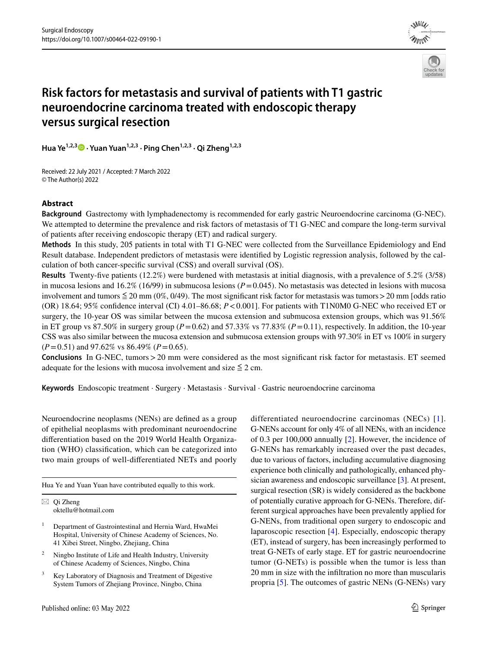



# **Risk factors for metastasis and survival of patients with T1 gastric neuroendocrine carcinoma treated with endoscopic therapy versus surgical resection**

Hua Ye<sup>1,2,[3](http://orcid.org/0000-0001-8981-4737)</sup> • Yuan Yuan<sup>1,2,3</sup> · Ping Chen<sup>1,2,3</sup> · Qi Zheng<sup>1,2,3</sup>

Received: 22 July 2021 / Accepted: 7 March 2022 © The Author(s) 2022

### **Abstract**

**Background** Gastrectomy with lymphadenectomy is recommended for early gastric Neuroendocrine carcinoma (G-NEC). We attempted to determine the prevalence and risk factors of metastasis of T1 G-NEC and compare the long-term survival of patients after receiving endoscopic therapy (ET) and radical surgery.

**Methods** In this study, 205 patients in total with T1 G-NEC were collected from the Surveillance Epidemiology and End Result database. Independent predictors of metastasis were identifed by Logistic regression analysis, followed by the calculation of both cancer-specifc survival (CSS) and overall survival (OS).

**Results** Twenty-fve patients (12.2%) were burdened with metastasis at initial diagnosis, with a prevalence of 5.2% (3/58) in mucosa lesions and 16.2% (16/99) in submucosa lesions ( $P = 0.045$ ). No metastasis was detected in lesions with mucosa involvement and tumors  $\leq 20$  mm (0%, 0/49). The most significant risk factor for metastasis was tumors > 20 mm [odds ratio (OR) 18.64; 95% confdence interval (CI) 4.01–86.68; *P*<0.001]. For patients with T1N0M0 G-NEC who received ET or surgery, the 10-year OS was similar between the mucosa extension and submucosa extension groups, which was 91.56% in ET group vs 87.50% in surgery group ( $P=0.62$ ) and 57.33% vs 77.83% ( $P=0.11$ ), respectively. In addition, the 10-year CSS was also similar between the mucosa extension and submucosa extension groups with 97.30% in ET vs 100% in surgery (*P*=0.51) and 97.62% vs 86.49% (*P*=0.65).

**Conclusions** In G-NEC, tumors > 20 mm were considered as the most significant risk factor for metastasis. ET seemed adequate for the lesions with mucosa involvement and size  $\leq 2$  cm.

**Keywords** Endoscopic treatment · Surgery · Metastasis · Survival · Gastric neuroendocrine carcinoma

Neuroendocrine neoplasms (NENs) are defned as a group of epithelial neoplasms with predominant neuroendocrine diferentiation based on the 2019 World Health Organization (WHO) classifcation, which can be categorized into two main groups of well-diferentiated NETs and poorly

Hua Ye and Yuan Yuan have contributed equally to this work.

 $\boxtimes$  Qi Zheng oktellu@hotmail.com

- <sup>1</sup> Department of Gastrointestinal and Hernia Ward, HwaMei Hospital, University of Chinese Academy of Sciences, No. 41 Xibei Street, Ningbo, Zhejiang, China
- <sup>2</sup> Ningbo Institute of Life and Health Industry, University of Chinese Academy of Sciences, Ningbo, China
- Key Laboratory of Diagnosis and Treatment of Digestive System Tumors of Zhejiang Province, Ningbo, China

differentiated neuroendocrine carcinomas (NECs) [[1](#page-7-0)]. G-NENs account for only 4% of all NENs, with an incidence of 0.3 per 100,000 annually [\[2\]](#page-7-1). However, the incidence of G-NENs has remarkably increased over the past decades, due to various of factors, including accumulative diagnosing experience both clinically and pathologically, enhanced physician awareness and endoscopic surveillance [[3\]](#page-7-2). At present, surgical resection (SR) is widely considered as the backbone of potentially curative approach for G-NENs. Therefore, different surgical approaches have been prevalently applied for G-NENs, from traditional open surgery to endoscopic and laparoscopic resection [[4\]](#page-7-3). Especially, endoscopic therapy (ET), instead of surgery, has been increasingly performed to treat G-NETs of early stage. ET for gastric neuroendocrine tumor (G-NETs) is possible when the tumor is less than 20 mm in size with the infltration no more than muscularis propria [\[5](#page-7-4)]. The outcomes of gastric NENs (G-NENs) vary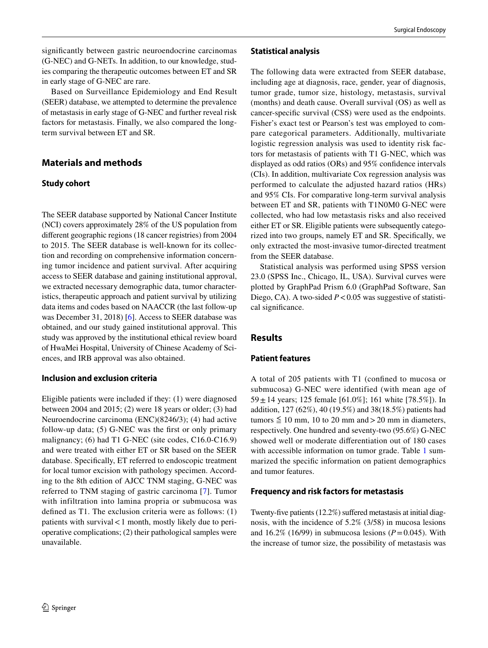signifcantly between gastric neuroendocrine carcinomas (G-NEC) and G-NETs. In addition, to our knowledge, studies comparing the therapeutic outcomes between ET and SR in early stage of G-NEC are rare.

Based on Surveillance Epidemiology and End Result (SEER) database, we attempted to determine the prevalence of metastasis in early stage of G-NEC and further reveal risk factors for metastasis. Finally, we also compared the longterm survival between ET and SR.

## **Materials and methods**

#### **Study cohort**

The SEER database supported by National Cancer Institute (NCI) covers approximately 28% of the US population from diferent geographic regions (18 cancer registries) from 2004 to 2015. The SEER database is well-known for its collection and recording on comprehensive information concerning tumor incidence and patient survival. After acquiring access to SEER database and gaining institutional approval, we extracted necessary demographic data, tumor characteristics, therapeutic approach and patient survival by utilizing data items and codes based on NAACCR (the last follow-up was December 31, 2018) [\[6](#page-7-5)]. Access to SEER database was obtained, and our study gained institutional approval. This study was approved by the institutional ethical review board of HwaMei Hospital, University of Chinese Academy of Sciences, and IRB approval was also obtained.

#### **Inclusion and exclusion criteria**

Eligible patients were included if they: (1) were diagnosed between 2004 and 2015; (2) were 18 years or older; (3) had Neuroendocrine carcinoma (ENC)(8246/3); (4) had active follow-up data; (5) G-NEC was the frst or only primary malignancy; (6) had T1 G-NEC (site codes, C16.0-C16.9) and were treated with either ET or SR based on the SEER database. Specifcally, ET referred to endoscopic treatment for local tumor excision with pathology specimen. According to the 8th edition of AJCC TNM staging, G-NEC was referred to TNM staging of gastric carcinoma [[7\]](#page-7-6). Tumor with infiltration into lamina propria or submucosa was defned as T1. The exclusion criteria were as follows: (1) patients with survival<1 month, mostly likely due to perioperative complications; (2) their pathological samples were unavailable.

The following data were extracted from SEER database, including age at diagnosis, race, gender, year of diagnosis, tumor grade, tumor size, histology, metastasis, survival (months) and death cause. Overall survival (OS) as well as cancer-specifc survival (CSS) were used as the endpoints. Fisher's exact test or Pearson's test was employed to compare categorical parameters. Additionally, multivariate logistic regression analysis was used to identity risk factors for metastasis of patients with T1 G-NEC, which was displayed as odd ratios (ORs) and 95% confdence intervals (CIs). In addition, multivariate Cox regression analysis was performed to calculate the adjusted hazard ratios (HRs) and 95% CIs. For comparative long-term survival analysis between ET and SR, patients with T1N0M0 G-NEC were collected, who had low metastasis risks and also received either ET or SR. Eligible patients were subsequently categorized into two groups, namely ET and SR. Specifcally, we only extracted the most-invasive tumor-directed treatment from the SEER database.

Statistical analysis was performed using SPSS version 23.0 (SPSS Inc., Chicago, IL, USA). Survival curves were plotted by GraphPad Prism 6.0 (GraphPad Software, San Diego, CA). A two-sided *P* < 0.05 was suggestive of statistical signifcance.

## **Results**

#### **Patient features**

A total of 205 patients with T1 (confned to mucosa or submucosa) G-NEC were identified (with mean age of 59  $\pm$  14 years; 125 female [61.0%]; 161 white [78.5%]). In addition, 127 (62%), 40 (19.5%) and 38(18.5%) patients had tumors  $\leq 10$  mm, 10 to 20 mm and > 20 mm in diameters, respectively. One hundred and seventy-two (95.6%) G-NEC showed well or moderate diferentiation out of 180 cases with accessible information on tumor grade. Table [1](#page-2-0) summarized the specifc information on patient demographics and tumor features.

## **Frequency and risk factors for metastasis**

Twenty-five patients (12.2%) suffered metastasis at initial diagnosis, with the incidence of 5.2% (3/58) in mucosa lesions and  $16.2\%$  (16/99) in submucosa lesions ( $P=0.045$ ). With the increase of tumor size, the possibility of metastasis was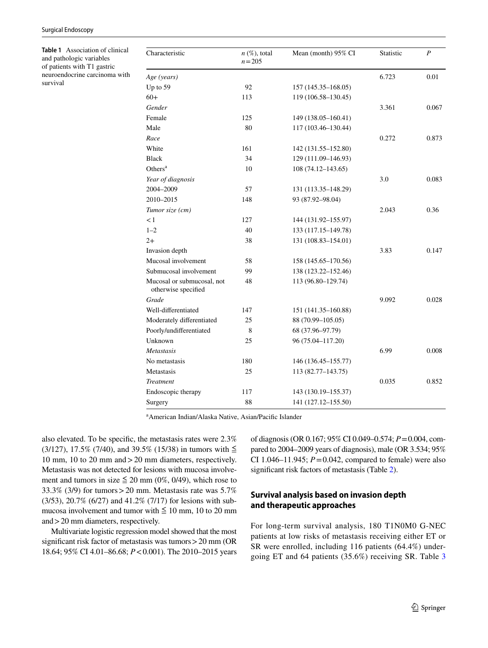<span id="page-2-0"></span>**Table 1** Association of clinical and pathologic variables of patients with T1 gastric neuroendocrine carcinoma with survival

| 6.723<br>0.01<br>92<br>157 (145.35–168.05)<br>113<br>119 (106.58-130.45)<br>3.361<br>0.067<br>125<br>149 (138.05-160.41)<br>80<br>117 (103.46-130.44)<br>0.272<br>0.873<br>161<br>142 (131.55-152.80)<br>34<br>129 (111.09-146.93)<br>10<br>$108(74.12 - 143.65)$<br>3.0<br>0.083<br>57<br>131 (113.35-148.29)<br>148<br>93 (87.92-98.04)<br>2.043<br>0.36<br>127<br>144 (131.92-155.97)<br>133 (117.15-149.78)<br>40<br>38<br>131 (108.83-154.01)<br>3.83<br>0.147<br>58<br>158 (145.65–170.56)<br>99<br>138 (123.22-152.46)<br>113 (96.80-129.74)<br>48<br>otherwise specified<br>9.092<br>0.028<br>147<br>151 (141.35-160.88)<br>25<br>88 (70.99-105.05)<br>8<br>68 (37.96-97.79)<br>25<br>96 (75.04-117.20)<br>6.99<br>0.008<br>180<br>146 (136.45–155.77)<br>25<br>113 (82.77-143.75)<br>0.035<br>0.852<br>117<br>143 (130.19-155.37)<br>88<br>141 (127.12-155.50) | Characteristic             | $n \ (\%)$ , total<br>$n = 205$ | Mean (month) 95% CI | Statistic | $\boldsymbol{P}$ |
|-------------------------------------------------------------------------------------------------------------------------------------------------------------------------------------------------------------------------------------------------------------------------------------------------------------------------------------------------------------------------------------------------------------------------------------------------------------------------------------------------------------------------------------------------------------------------------------------------------------------------------------------------------------------------------------------------------------------------------------------------------------------------------------------------------------------------------------------------------------------------|----------------------------|---------------------------------|---------------------|-----------|------------------|
|                                                                                                                                                                                                                                                                                                                                                                                                                                                                                                                                                                                                                                                                                                                                                                                                                                                                         | Age (years)                |                                 |                     |           |                  |
|                                                                                                                                                                                                                                                                                                                                                                                                                                                                                                                                                                                                                                                                                                                                                                                                                                                                         | Up to 59                   |                                 |                     |           |                  |
|                                                                                                                                                                                                                                                                                                                                                                                                                                                                                                                                                                                                                                                                                                                                                                                                                                                                         | $60+$                      |                                 |                     |           |                  |
|                                                                                                                                                                                                                                                                                                                                                                                                                                                                                                                                                                                                                                                                                                                                                                                                                                                                         | Gender                     |                                 |                     |           |                  |
|                                                                                                                                                                                                                                                                                                                                                                                                                                                                                                                                                                                                                                                                                                                                                                                                                                                                         | Female                     |                                 |                     |           |                  |
|                                                                                                                                                                                                                                                                                                                                                                                                                                                                                                                                                                                                                                                                                                                                                                                                                                                                         | Male                       |                                 |                     |           |                  |
|                                                                                                                                                                                                                                                                                                                                                                                                                                                                                                                                                                                                                                                                                                                                                                                                                                                                         | Race                       |                                 |                     |           |                  |
|                                                                                                                                                                                                                                                                                                                                                                                                                                                                                                                                                                                                                                                                                                                                                                                                                                                                         | White                      |                                 |                     |           |                  |
|                                                                                                                                                                                                                                                                                                                                                                                                                                                                                                                                                                                                                                                                                                                                                                                                                                                                         | <b>Black</b>               |                                 |                     |           |                  |
|                                                                                                                                                                                                                                                                                                                                                                                                                                                                                                                                                                                                                                                                                                                                                                                                                                                                         | Others $a$                 |                                 |                     |           |                  |
|                                                                                                                                                                                                                                                                                                                                                                                                                                                                                                                                                                                                                                                                                                                                                                                                                                                                         | Year of diagnosis          |                                 |                     |           |                  |
|                                                                                                                                                                                                                                                                                                                                                                                                                                                                                                                                                                                                                                                                                                                                                                                                                                                                         | 2004-2009                  |                                 |                     |           |                  |
|                                                                                                                                                                                                                                                                                                                                                                                                                                                                                                                                                                                                                                                                                                                                                                                                                                                                         | 2010-2015                  |                                 |                     |           |                  |
|                                                                                                                                                                                                                                                                                                                                                                                                                                                                                                                                                                                                                                                                                                                                                                                                                                                                         | Tumor size (cm)            |                                 |                     |           |                  |
|                                                                                                                                                                                                                                                                                                                                                                                                                                                                                                                                                                                                                                                                                                                                                                                                                                                                         | $\lt 1$                    |                                 |                     |           |                  |
|                                                                                                                                                                                                                                                                                                                                                                                                                                                                                                                                                                                                                                                                                                                                                                                                                                                                         | $1 - 2$                    |                                 |                     |           |                  |
|                                                                                                                                                                                                                                                                                                                                                                                                                                                                                                                                                                                                                                                                                                                                                                                                                                                                         | $2+$                       |                                 |                     |           |                  |
|                                                                                                                                                                                                                                                                                                                                                                                                                                                                                                                                                                                                                                                                                                                                                                                                                                                                         | Invasion depth             |                                 |                     |           |                  |
|                                                                                                                                                                                                                                                                                                                                                                                                                                                                                                                                                                                                                                                                                                                                                                                                                                                                         | Mucosal involvement        |                                 |                     |           |                  |
|                                                                                                                                                                                                                                                                                                                                                                                                                                                                                                                                                                                                                                                                                                                                                                                                                                                                         | Submucosal involvement     |                                 |                     |           |                  |
|                                                                                                                                                                                                                                                                                                                                                                                                                                                                                                                                                                                                                                                                                                                                                                                                                                                                         | Mucosal or submucosal, not |                                 |                     |           |                  |
|                                                                                                                                                                                                                                                                                                                                                                                                                                                                                                                                                                                                                                                                                                                                                                                                                                                                         | Grade                      |                                 |                     |           |                  |
|                                                                                                                                                                                                                                                                                                                                                                                                                                                                                                                                                                                                                                                                                                                                                                                                                                                                         | Well-differentiated        |                                 |                     |           |                  |
|                                                                                                                                                                                                                                                                                                                                                                                                                                                                                                                                                                                                                                                                                                                                                                                                                                                                         | Moderately differentiated  |                                 |                     |           |                  |
|                                                                                                                                                                                                                                                                                                                                                                                                                                                                                                                                                                                                                                                                                                                                                                                                                                                                         | Poorly/undifferentiated    |                                 |                     |           |                  |
|                                                                                                                                                                                                                                                                                                                                                                                                                                                                                                                                                                                                                                                                                                                                                                                                                                                                         | Unknown                    |                                 |                     |           |                  |
|                                                                                                                                                                                                                                                                                                                                                                                                                                                                                                                                                                                                                                                                                                                                                                                                                                                                         | Metastasis                 |                                 |                     |           |                  |
|                                                                                                                                                                                                                                                                                                                                                                                                                                                                                                                                                                                                                                                                                                                                                                                                                                                                         | No metastasis              |                                 |                     |           |                  |
|                                                                                                                                                                                                                                                                                                                                                                                                                                                                                                                                                                                                                                                                                                                                                                                                                                                                         | Metastasis                 |                                 |                     |           |                  |
|                                                                                                                                                                                                                                                                                                                                                                                                                                                                                                                                                                                                                                                                                                                                                                                                                                                                         | Treatment                  |                                 |                     |           |                  |
|                                                                                                                                                                                                                                                                                                                                                                                                                                                                                                                                                                                                                                                                                                                                                                                                                                                                         | Endoscopic therapy         |                                 |                     |           |                  |
|                                                                                                                                                                                                                                                                                                                                                                                                                                                                                                                                                                                                                                                                                                                                                                                                                                                                         | Surgery                    |                                 |                     |           |                  |

a American Indian/Alaska Native, Asian/Pacifc Islander

also elevated. To be specifc, the metastasis rates were 2.3% (3/127), 17.5% (7/40), and 39.5% (15/38) in tumors with  $\leq$ 10 mm, 10 to 20 mm and>20 mm diameters, respectively. Metastasis was not detected for lesions with mucosa involvement and tumors in size  $\leq 20$  mm (0%, 0/49), which rose to 33.3% (3/9) for tumors  $>$  20 mm. Metastasis rate was 5.7% (3/53), 20.7% (6/27) and 41.2% (7/17) for lesions with submucosa involvement and tumor with  $\leq 10$  mm, 10 to 20 mm and>20 mm diameters, respectively.

Multivariate logistic regression model showed that the most significant risk factor of metastasis was tumors > 20 mm (OR) 18.64; 95% CI 4.01–86.68; *P*<0.001). The 2010–2015 years of diagnosis (OR 0.167; 95% CI 0.049–0.574; *P*=0.004, compared to 2004–2009 years of diagnosis), male (OR 3.534; 95% CI 1.046–11.945;  $P = 0.042$ , compared to female) were also signifcant risk factors of metastasis (Table [2](#page-3-0)).

#### **Survival analysis based on invasion depth and therapeutic approaches**

For long-term survival analysis, 180 T1N0M0 G-NEC patients at low risks of metastasis receiving either ET or SR were enrolled, including 116 patients (64.4%) undergoing ET and 64 patients (35.6%) receiving SR. Table [3](#page-4-0)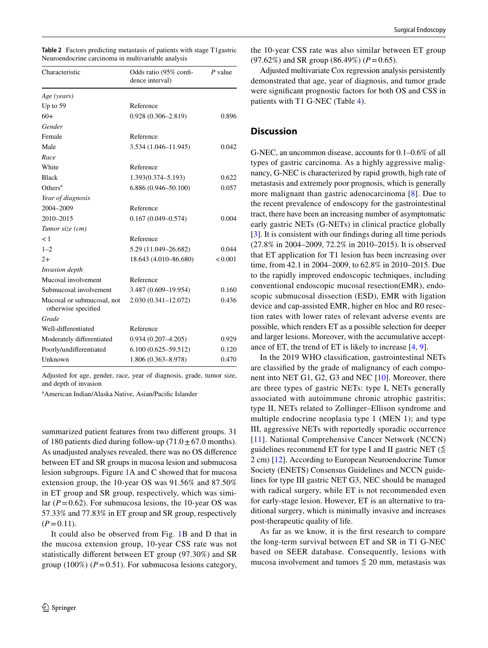<span id="page-3-0"></span>

|  |  | Table 2 Factors predicting metastasis of patients with stage T1 gastric |  |
|--|--|-------------------------------------------------------------------------|--|
|  |  | Neuroendocrine carcinoma in multivariable analysis                      |  |

| Characteristic                                    | Odds ratio (95% confi-<br>dence interval) | P value |  |
|---------------------------------------------------|-------------------------------------------|---------|--|
| Age (years)                                       |                                           |         |  |
| Up to $59$                                        | Reference                                 |         |  |
| $60+$                                             | $0.928(0.306 - 2.819)$                    | 0.896   |  |
| Gender                                            |                                           |         |  |
| Female                                            | Reference                                 |         |  |
| Male                                              | 3.534 (1.046-11.945)                      | 0.042   |  |
| Race                                              |                                           |         |  |
| White                                             | Reference                                 |         |  |
| <b>Black</b>                                      | 1.393(0.374–5.193)                        | 0.622   |  |
| Others <sup>a</sup>                               | $6.886(0.946 - 50.100)$                   | 0.057   |  |
| Year of diagnosis                                 |                                           |         |  |
| 2004-2009                                         | Reference                                 |         |  |
| 2010-2015                                         | $0.167(0.049 - 0.574)$                    | 0.004   |  |
| Tumor size (cm)                                   |                                           |         |  |
| < 1                                               | Reference                                 |         |  |
| $1 - 2$                                           | 5.29 (11.049-26.682)                      | 0.044   |  |
| $2+$                                              | 18.643 (4.010-86.680)                     | < 0.001 |  |
| <i>Invasion depth</i>                             |                                           |         |  |
| Mucosal involvement                               | Reference                                 |         |  |
| Submucosal involvement                            | 3.487 (0.609-19.954)                      | 0.160   |  |
| Mucosal or submucosal, not<br>otherwise specified | 2.030 (0.341-12.072)                      | 0.436   |  |
| Grade                                             |                                           |         |  |
| Well-differentiated                               | Reference                                 |         |  |
| Moderately differentiated                         | $0.934(0.207 - 4.205)$                    | 0.929   |  |
| Poorly/undifferentiated                           | $6.100(0.625 - 59.512)$                   | 0.120   |  |
| Unknown                                           | 1.806 (0.363-8.978)                       | 0.470   |  |

Adjusted for age, gender, race, year of diagnosis, grade, tumor size, and depth of invasion

a American Indian/Alaska Native, Asian/Pacifc Islander

summarized patient features from two diferent groups. 31 of 180 patients died during follow-up  $(71.0 \pm 67.0 \text{ months}).$ As unadjusted analyses revealed, there was no OS diference between ET and SR groups in mucosa lesion and submucosa lesion subgroups. Figure [1](#page-5-0)A and C showed that for mucosa extension group, the 10-year OS was 91.56% and 87.50% in ET group and SR group, respectively, which was similar  $(P=0.62)$ . For submucosa lesions, the 10-year OS was 57.33% and 77.83% in ET group and SR group, respectively  $(P=0.11)$ .

It could also be observed from Fig. [1](#page-5-0)B and D that in the mucosa extension group, 10-year CSS rate was not statistically diferent between ET group (97.30%) and SR group  $(100\%)$  ( $P = 0.51$ ). For submucosa lesions category,

the 10-year CSS rate was also similar between ET group  $(97.62\%)$  and SR group  $(86.49\%)$   $(P=0.65)$ .

Adjusted multivariate Cox regression analysis persistently demonstrated that age, year of diagnosis, and tumor grade were signifcant prognostic factors for both OS and CSS in patients with T1 G-NEC (Table [4\)](#page-6-0).

#### **Discussion**

G-NEC, an uncommon disease, accounts for 0.1–0.6% of all types of gastric carcinoma. As a highly aggressive malignancy, G-NEC is characterized by rapid growth, high rate of metastasis and extremely poor prognosis, which is generally more malignant than gastric adenocarcinoma [[8\]](#page-7-7). Due to the recent prevalence of endoscopy for the gastrointestinal tract, there have been an increasing number of asymptomatic early gastric NETs (G-NETs) in clinical practice globally [\[3\]](#page-7-2). It is consistent with our fndings during all time periods (27.8% in 2004–2009, 72.2% in 2010–2015). It is observed that ET application for T1 lesion has been increasing over time, from 42.1 in 2004–2009, to 62.8% in 2010–2015. Due to the rapidly improved endoscopic techniques, including conventional endoscopic mucosal resection(EMR), endoscopic submucosal dissection (ESD), EMR with ligation device and cap-assisted EMR, higher en bloc and R0 resection rates with lower rates of relevant adverse events are possible, which renders ET as a possible selection for deeper and larger lesions. Moreover, with the accumulative acceptance of ET, the trend of ET is likely to increase [\[4](#page-7-3), [9](#page-7-8)].

In the 2019 WHO classifcation, gastrointestinal NETs are classifed by the grade of malignancy of each component into NET G1, G2, G3 and NEC [[10](#page-7-9)]. Moreover, there are three types of gastric NETs: type I, NETs generally associated with autoimmune chronic atrophic gastritis; type II, NETs related to Zollinger–Ellison syndrome and multiple endocrine neoplasia type 1 (MEN 1); and type III, aggressive NETs with reportedly sporadic occurrence [[11](#page-7-10)]. National Comprehensive Cancer Network (NCCN) guidelines recommend ET for type I and II gastric NET ( $\leq$ 2 cm) [\[12](#page-7-11)]. According to European Neuroendocrine Tumor Society (ENETS) Consensus Guidelines and NCCN guidelines for type III gastric NET G3, NEC should be managed with radical surgery, while ET is not recommended even for early-stage lesion. However, ET is an alternative to traditional surgery, which is minimally invasive and increases post-therapeutic quality of life.

As far as we know, it is the frst research to compare the long-term survival between ET and SR in T1 G-NEC based on SEER database. Consequently, lesions with mucosa involvement and tumors  $\leq 20$  mm, metastasis was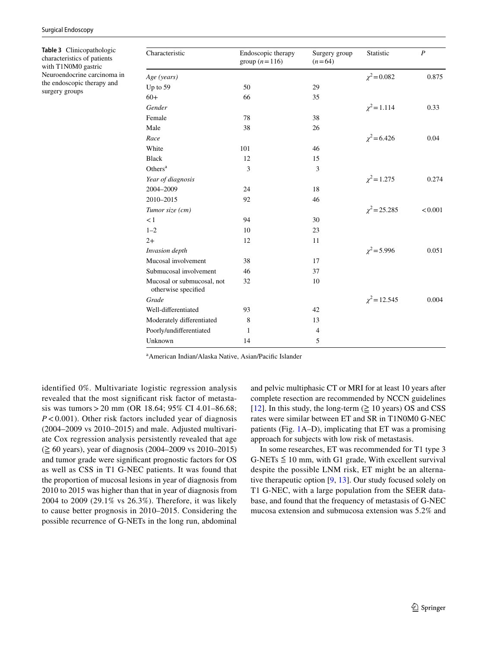<span id="page-4-0"></span>**Table 3** Clinicopathologic characteristics of patients with T1N0M0 gastric Neuroendocrine carcinoma in the endoscopic therapy and surgery groups

| Characteristic                                    | Endoscopic therapy<br>group $(n=116)$ | Surgery group<br>$(n=64)$ | Statistic         | $\boldsymbol{P}$ |
|---------------------------------------------------|---------------------------------------|---------------------------|-------------------|------------------|
| Age (years)                                       |                                       |                           | $\chi^2$ = 0.082  | 0.875            |
| Up to 59                                          | 50                                    | 29                        |                   |                  |
| $60+$                                             | 66                                    | 35                        |                   |                  |
| Gender                                            |                                       |                           | $\chi^2$ = 1.114  | 0.33             |
| Female                                            | 78                                    | 38                        |                   |                  |
| Male                                              | 38                                    | 26                        |                   |                  |
| Race                                              |                                       |                           | $\chi^2$ = 6.426  | 0.04             |
| White                                             | 101                                   | 46                        |                   |                  |
| <b>Black</b>                                      | 12                                    | 15                        |                   |                  |
| Others $a$                                        | 3                                     | 3                         |                   |                  |
| Year of diagnosis                                 |                                       |                           | $\chi^2$ = 1.275  | 0.274            |
| 2004-2009                                         | 24                                    | 18                        |                   |                  |
| 2010-2015                                         | 92                                    | 46                        |                   |                  |
| Tumor size (cm)                                   |                                       |                           | $\chi^2$ = 25.285 | < 0.001          |
| $\lt 1$                                           | 94                                    | 30                        |                   |                  |
| $1 - 2$                                           | 10                                    | 23                        |                   |                  |
| $2+$                                              | 12                                    | 11                        |                   |                  |
| Invasion depth                                    |                                       |                           | $\chi^2$ = 5.996  | 0.051            |
| Mucosal involvement                               | 38                                    | 17                        |                   |                  |
| Submucosal involvement                            | 46                                    | 37                        |                   |                  |
| Mucosal or submucosal, not<br>otherwise specified | 32                                    | 10                        |                   |                  |
| Grade                                             |                                       |                           | $\chi^2$ = 12.545 | 0.004            |
| Well-differentiated                               | 93                                    | 42                        |                   |                  |
| Moderately differentiated                         | 8                                     | 13                        |                   |                  |
| Poorly/undifferentiated                           | 1                                     | $\overline{4}$            |                   |                  |
| Unknown                                           | 14                                    | 5                         |                   |                  |

a American Indian/Alaska Native, Asian/Pacifc Islander

identified 0%. Multivariate logistic regression analysis revealed that the most signifcant risk factor of metastasis was tumors>20 mm (OR 18.64; 95% CI 4.01–86.68; *P*<0.001). Other risk factors included year of diagnosis (2004–2009 vs 2010–2015) and male. Adjusted multivariate Cox regression analysis persistently revealed that age (≧ 60 years), year of diagnosis (2004–2009 vs 2010–2015) and tumor grade were signifcant prognostic factors for OS as well as CSS in T1 G-NEC patients. It was found that the proportion of mucosal lesions in year of diagnosis from 2010 to 2015 was higher than that in year of diagnosis from 2004 to 2009 (29.1% vs 26.3%). Therefore, it was likely to cause better prognosis in 2010–2015. Considering the possible recurrence of G-NETs in the long run, abdominal and pelvic multiphasic CT or MRI for at least 10 years after complete resection are recommended by NCCN guidelines [[12\]](#page-7-11). In this study, the long-term  $(\geq 10 \text{ years})$  OS and CSS rates were similar between ET and SR in T1N0M0 G-NEC patients (Fig. [1A](#page-5-0)–D), implicating that ET was a promising approach for subjects with low risk of metastasis.

In some researches, ET was recommended for T1 type 3 G-NETs  $\leq 10$  mm, with G1 grade, With excellent survival despite the possible LNM risk, ET might be an alternative therapeutic option [[9,](#page-7-8) [13](#page-7-12)]. Our study focused solely on T1 G-NEC, with a large population from the SEER database, and found that the frequency of metastasis of G-NEC mucosa extension and submucosa extension was 5.2% and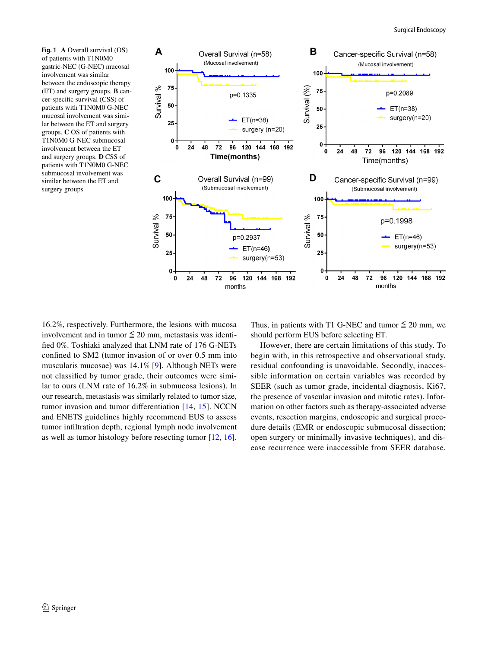<span id="page-5-0"></span>**Fig. 1 A** Overall survival (OS) of patients with T1N0M0 gastric-NEC (G-NEC) mucosal involvement was similar between the endoscopic therapy (ET) and surgery groups. **B** cancer-specifc survival (CSS) of patients with T1N0M0 G-NEC mucosal involvement was similar between the ET and surgery groups. **C** OS of patients with T1N0M0 G-NEC submucosal involvement between the ET and surgery groups. **D** CSS of patients with T1N0M0 G-NEC submucosal involvement was similar between the ET and surgery groups



16.2%, respectively. Furthermore, the lesions with mucosa involvement and in tumor  $\leq 20$  mm, metastasis was identifed 0%. Toshiaki analyzed that LNM rate of 176 G-NETs confned to SM2 (tumor invasion of or over 0.5 mm into muscularis mucosae) was 14.1% [[9](#page-7-8)]. Although NETs were not classifed by tumor grade, their outcomes were similar to ours (LNM rate of 16.2% in submucosa lesions). In our research, metastasis was similarly related to tumor size, tumor invasion and tumor diferentiation [[14](#page-7-13), [15](#page-7-14)]. NCCN and ENETS guidelines highly recommend EUS to assess tumor infltration depth, regional lymph node involvement as well as tumor histology before resecting tumor [[12,](#page-7-11) [16](#page-7-15)].

Thus, in patients with T1 G-NEC and tumor  $\leq 20$  mm, we should perform EUS before selecting ET.

However, there are certain limitations of this study. To begin with, in this retrospective and observational study, residual confounding is unavoidable. Secondly, inaccessible information on certain variables was recorded by SEER (such as tumor grade, incidental diagnosis, Ki67, the presence of vascular invasion and mitotic rates). Information on other factors such as therapy-associated adverse events, resection margins, endoscopic and surgical procedure details (EMR or endoscopic submucosal dissection; open surgery or minimally invasive techniques), and disease recurrence were inaccessible from SEER database.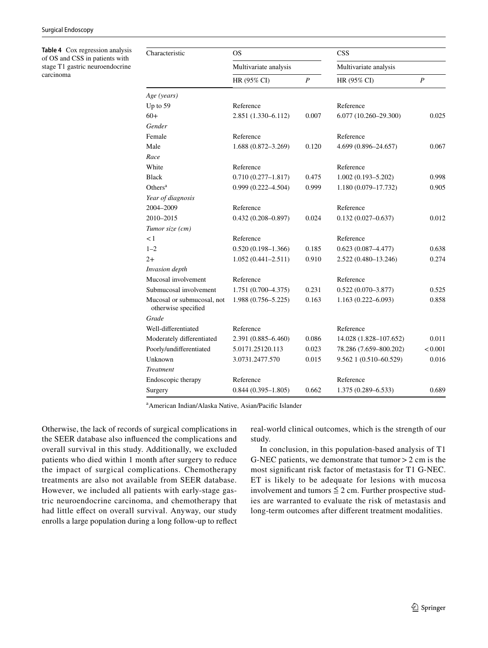<span id="page-6-0"></span>**Table 4** Cox regression analysis of OS and CSS in patients with stage T1 gastric neuroendocrine carcinoma

| Characteristic                                    | <b>OS</b><br>Multivariate analysis |       | <b>CSS</b><br>Multivariate analysis |                  |  |
|---------------------------------------------------|------------------------------------|-------|-------------------------------------|------------------|--|
|                                                   |                                    |       |                                     |                  |  |
|                                                   | HR (95% CI)<br>$\boldsymbol{P}$    |       | HR (95% CI)                         | $\boldsymbol{P}$ |  |
| Age (years)                                       |                                    |       |                                     |                  |  |
| Up to 59                                          | Reference                          |       | Reference                           |                  |  |
| $60+$                                             | 2.851 (1.330-6.112)                | 0.007 | $6.077(10.260 - 29.300)$            | 0.025            |  |
| Gender                                            |                                    |       |                                     |                  |  |
| Female                                            | Reference                          |       | Reference                           |                  |  |
| Male                                              | 1.688 (0.872-3.269)                | 0.120 | 4.699 (0.896-24.657)                | 0.067            |  |
| Race                                              |                                    |       |                                     |                  |  |
| White                                             | Reference                          |       | Reference                           |                  |  |
| <b>Black</b>                                      | $0.710(0.277 - 1.817)$             | 0.475 | $1.002(0.193 - 5.202)$              | 0.998            |  |
| Others <sup>a</sup>                               | $0.999(0.222 - 4.504)$             | 0.999 | 1.180 (0.079-17.732)                | 0.905            |  |
| Year of diagnosis                                 |                                    |       |                                     |                  |  |
| 2004-2009                                         | Reference                          |       | Reference                           |                  |  |
| 2010-2015                                         | $0.432(0.208 - 0.897)$             | 0.024 | $0.132(0.027 - 0.637)$              | 0.012            |  |
| Tumor size (cm)                                   |                                    |       |                                     |                  |  |
| $\leq$ 1                                          | Reference                          |       | Reference                           |                  |  |
| $1 - 2$                                           | $0.520(0.198 - 1.366)$             | 0.185 | $0.623(0.087 - 4.477)$              | 0.638            |  |
| $2+$                                              | $1.052(0.441 - 2.511)$             | 0.910 | 2.522 (0.480-13.246)                | 0.274            |  |
| Invasion depth                                    |                                    |       |                                     |                  |  |
| Mucosal involvement                               | Reference                          |       | Reference                           |                  |  |
| Submucosal involvement                            | $1.751(0.700-4.375)$               | 0.231 | $0.522(0.070 - 3.877)$              | 0.525            |  |
| Mucosal or submucosal, not<br>otherwise specified | $1.988(0.756 - 5.225)$             | 0.163 | $1.163(0.222 - 6.093)$              | 0.858            |  |
| Grade                                             |                                    |       |                                     |                  |  |
| Well-differentiated                               | Reference                          |       | Reference                           |                  |  |
| Moderately differentiated                         | 2.391 (0.885-6.460)                | 0.086 | 14.028 (1.828-107.652)              | 0.011            |  |
| Poorly/undifferentiated                           | 5.0171.25120.113                   | 0.023 | 78.286 (7.659-800.202)              | < 0.001          |  |
| Unknown                                           | 3.0731.2477.570                    | 0.015 | 9.562 1 (0.510-60.529)              | 0.016            |  |
| Treatment                                         |                                    |       |                                     |                  |  |
| Endoscopic therapy                                | Reference                          |       | Reference                           |                  |  |
| Surgery                                           | $0.844(0.395 - 1.805)$             | 0.662 | 1.375 (0.289-6.533)                 | 0.689            |  |

a American Indian/Alaska Native, Asian/Pacifc Islander

Otherwise, the lack of records of surgical complications in the SEER database also infuenced the complications and overall survival in this study. Additionally, we excluded patients who died within 1 month after surgery to reduce the impact of surgical complications. Chemotherapy treatments are also not available from SEER database. However, we included all patients with early-stage gastric neuroendocrine carcinoma, and chemotherapy that had little effect on overall survival. Anyway, our study enrolls a large population during a long follow-up to refect real-world clinical outcomes, which is the strength of our study.

In conclusion, in this population-based analysis of T1 G-NEC patients, we demonstrate that tumor  $>$  2 cm is the most signifcant risk factor of metastasis for T1 G-NEC. ET is likely to be adequate for lesions with mucosa involvement and tumors  $\leq 2$  cm. Further prospective studies are warranted to evaluate the risk of metastasis and long-term outcomes after diferent treatment modalities.